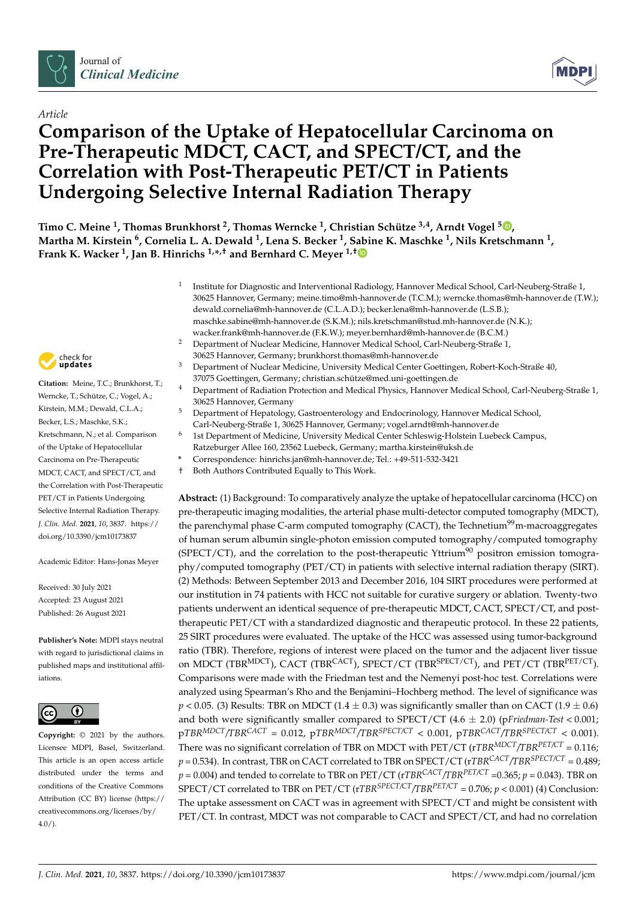



# **Comparison of the Uptake of Hepatocellular Carcinoma on Pre-Therapeutic MDCT, CACT, and SPECT/CT, and the Correlation with Post-Therapeutic PET/CT in Patients Undergoing Selective Internal Radiation Therapy**



- 1 Institute for Diagnostic and Interventional Radiology, Hannover Medical School, Carl-Neuberg-Straße 1, 30625 Hannover, Germany; meine.timo@mh-hannover.de (T.C.M.); werncke.thomas@mh-hannover.de (T.W.); dewald.cornelia@mh-hannover.de (C.L.A.D.); becker.lena@mh-hannover.de (L.S.B.); maschke.sabine@mh-hannover.de (S.K.M.); nils.kretschman@stud.mh-hannover.de (N.K.); wacker.frank@mh-hannover.de (F.K.W.); meyer.bernhard@mh-hannover.de (B.C.M.)
- <sup>2</sup> Department of Nuclear Medicine, Hannover Medical School, Carl-Neuberg-Straße 1, 30625 Hannover, Germany; brunkhorst.thomas@mh-hannover.de
- <sup>3</sup> Department of Nuclear Medicine, University Medical Center Goettingen, Robert-Koch-Straße 40, 37075 Goettingen, Germany; christian.schütze@med.uni-goettingen.de
- <sup>4</sup> Department of Radiation Protection and Medical Physics, Hannover Medical School, Carl-Neuberg-Straße 1, 30625 Hannover, Germany
- <sup>5</sup> Department of Hepatology, Gastroenterology and Endocrinology, Hannover Medical School, Carl-Neuberg-Straße 1, 30625 Hannover, Germany; vogel.arndt@mh-hannover.de
- <sup>6</sup> 1st Department of Medicine, University Medical Center Schleswig-Holstein Luebeck Campus, Ratzeburger Allee 160, 23562 Luebeck, Germany; martha.kirstein@uksh.de
- **\*** Correspondence: hinrichs.jan@mh-hannover.de; Tel.: +49-511-532-3421
- † Both Authors Contributed Equally to This Work.

**Abstract:** (1) Background: To comparatively analyze the uptake of hepatocellular carcinoma (HCC) on pre-therapeutic imaging modalities, the arterial phase multi-detector computed tomography (MDCT), the parenchymal phase C-arm computed tomography (CACT), the Technetium<sup>99</sup>m-macroaggregates of human serum albumin single-photon emission computed tomography/computed tomography (SPECT/CT), and the correlation to the post-therapeutic Yttrium<sup>90</sup> positron emission tomography/computed tomography (PET/CT) in patients with selective internal radiation therapy (SIRT). (2) Methods: Between September 2013 and December 2016, 104 SIRT procedures were performed at our institution in 74 patients with HCC not suitable for curative surgery or ablation. Twenty-two patients underwent an identical sequence of pre-therapeutic MDCT, CACT, SPECT/CT, and posttherapeutic PET/CT with a standardized diagnostic and therapeutic protocol. In these 22 patients, 25 SIRT procedures were evaluated. The uptake of the HCC was assessed using tumor-background ratio (TBR). Therefore, regions of interest were placed on the tumor and the adjacent liver tissue on MDCT (TBR<sup>MDCT</sup>), CACT (TBR<sup>CACT</sup>), SPECT/CT (TBR<sup>SPECT/CT</sup>), and PET/CT (TBR<sup>PET/CT</sup>). Comparisons were made with the Friedman test and the Nemenyi post-hoc test. Correlations were analyzed using Spearman's Rho and the Benjamini–Hochberg method. The level of significance was  $p < 0.05$ . (3) Results: TBR on MDCT (1.4  $\pm$  0.3) was significantly smaller than on CACT (1.9  $\pm$  0.6) and both were significantly smaller compared to SPECT/CT  $(4.6 \pm 2.0)$  (p*Friedman-Test* < 0.001;  $pTBR^{MDCT}/TBR^{CACT} = 0.012$ ,  $pTBR^{MDCT}/TBR^{SPECT/CT} < 0.001$ ,  $pTBR^{CACT}/TBR^{SPECT/CT} < 0.001$ . There was no significant correlation of TBR on MDCT with PET/CT (r*TBRMDCT/TBRPET/CT* = 0.116; *p* = 0.534). In contrast, TBR on CACT correlated to TBR on SPECT/CT (r*TBRCACT/TBRSPECT/CT* = 0.489;  $p = 0.004$ ) and tended to correlate to TBR on PET/CT ( $rTBR<sup>CACT</sup>/TBR<sup>PET/CT</sup> = 0.365; p = 0.043$ ). TBR on SPECT/CT correlated to TBR on PET/CT (r*TBRSPECT/CT/TBRPET/CT* = 0.706; *p* < 0.001) (4) Conclusion: The uptake assessment on CACT was in agreement with SPECT/CT and might be consistent with PET/CT. In contrast, MDCT was not comparable to CACT and SPECT/CT, and had no correlation



**Citation:** Meine, T.C.; Brunkhorst, T.; Werncke, T.; Schütze, C.; Vogel, A.; Kirstein, M.M.; Dewald, C.L.A.; Becker, L.S.; Maschke, S.K.; Kretschmann, N.; et al. Comparison of the Uptake of Hepatocellular Carcinoma on Pre-Therapeutic MDCT, CACT, and SPECT/CT, and the Correlation with Post-Therapeutic PET/CT in Patients Undergoing Selective Internal Radiation Therapy. *J. Clin. Med.* **2021**, *10*, 3837. https:// doi.org/10.3390/jcm10173837

Academic Editor: Hans-Jonas Meyer

Received: 30 July 2021 Accepted: 23 August 2021 Published: 26 August 2021

**Publisher's Note:** MDPI stays neutral with regard to jurisdictional claims in published maps and institutional affiliations.



**Copyright:** © 2021 by the authors. Licensee MDPI, Basel, Switzerland. This article is an open access article distributed under the terms and conditions of the Creative Commons Attribution (CC BY) license (https:// creativecommons.org/licenses/by/  $4.0/$ ).

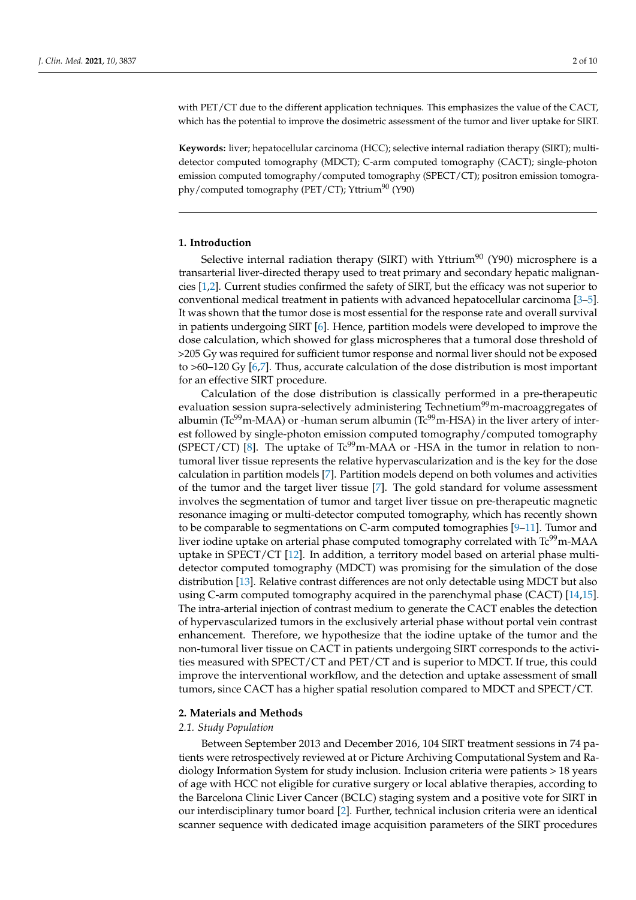with PET/CT due to the different application techniques. This emphasizes the value of the CACT, which has the potential to improve the dosimetric assessment of the tumor and liver uptake for SIRT.

**Keywords:** liver; hepatocellular carcinoma (HCC); selective internal radiation therapy (SIRT); multidetector computed tomography (MDCT); C-arm computed tomography (CACT); single-photon emission computed tomography/computed tomography (SPECT/CT); positron emission tomography/computed tomography (PET/CT); Yttrium<sup>90</sup> (Y90)

# **1. Introduction**

Selective internal radiation therapy (SIRT) with Yttrium<sup>90</sup> (Y90) microsphere is a transarterial liver-directed therapy used to treat primary and secondary hepatic malignancies [1,2]. Current studies confirmed the safety of SIRT, but the efficacy was not superior to conventional medical treatment in patients with advanced hepatocellular carcinoma [3–5]. It was shown that the tumor dose is most essential for the response rate and overall survival in patients undergoing SIRT [6]. Hence, partition models were developed to improve the dose calculation, which showed for glass microspheres that a tumoral dose threshold of >205 Gy was required for sufficient tumor response and normal liver should not be exposed to >60–120 Gy [6,7]. Thus, accurate calculation of the dose distribution is most important for an effective SIRT procedure.

Calculation of the dose distribution is classically performed in a pre-therapeutic evaluation session supra-selectively administering Technetium<sup>99</sup>m-macroaggregates of albumin ( $Tc^{99}$ m-MAA) or -human serum albumin ( $Tc^{99}$ m-HSA) in the liver artery of interest followed by single-photon emission computed tomography/computed tomography (SPECT/CT) [8]. The uptake of  $Tc^{99}m-MAA$  or -HSA in the tumor in relation to nontumoral liver tissue represents the relative hypervascularization and is the key for the dose calculation in partition models [7]. Partition models depend on both volumes and activities of the tumor and the target liver tissue [7]. The gold standard for volume assessment involves the segmentation of tumor and target liver tissue on pre-therapeutic magnetic resonance imaging or multi-detector computed tomography, which has recently shown to be comparable to segmentations on C-arm computed tomographies [9–11]. Tumor and liver iodine uptake on arterial phase computed tomography correlated with Tc<sup>99</sup>m-MAA uptake in SPECT/CT [12]. In addition, a territory model based on arterial phase multidetector computed tomography (MDCT) was promising for the simulation of the dose distribution [13]. Relative contrast differences are not only detectable using MDCT but also using C-arm computed tomography acquired in the parenchymal phase (CACT) [14,15]. The intra-arterial injection of contrast medium to generate the CACT enables the detection of hypervascularized tumors in the exclusively arterial phase without portal vein contrast enhancement. Therefore, we hypothesize that the iodine uptake of the tumor and the non-tumoral liver tissue on CACT in patients undergoing SIRT corresponds to the activities measured with SPECT/CT and PET/CT and is superior to MDCT. If true, this could improve the interventional workflow, and the detection and uptake assessment of small tumors, since CACT has a higher spatial resolution compared to MDCT and SPECT/CT.

#### **2. Materials and Methods**

### *2.1. Study Population*

Between September 2013 and December 2016, 104 SIRT treatment sessions in 74 patients were retrospectively reviewed at or Picture Archiving Computational System and Radiology Information System for study inclusion. Inclusion criteria were patients > 18 years of age with HCC not eligible for curative surgery or local ablative therapies, according to the Barcelona Clinic Liver Cancer (BCLC) staging system and a positive vote for SIRT in our interdisciplinary tumor board [2]. Further, technical inclusion criteria were an identical scanner sequence with dedicated image acquisition parameters of the SIRT procedures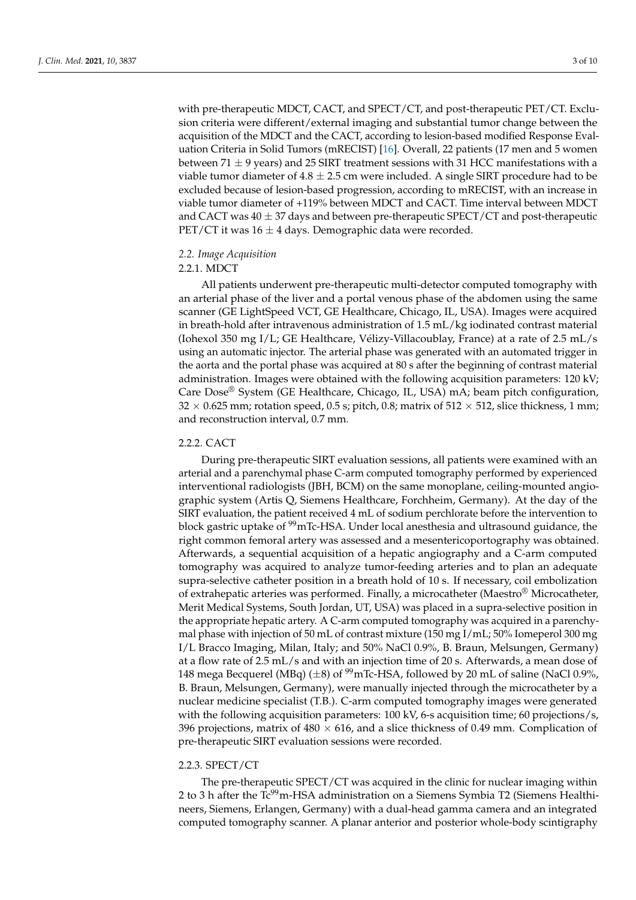with pre-therapeutic MDCT, CACT, and SPECT/CT, and post-therapeutic PET/CT. Exclusion criteria were different/external imaging and substantial tumor change between the acquisition of the MDCT and the CACT, according to lesion-based modified Response Evaluation Criteria in Solid Tumors (mRECIST) [16]. Overall, 22 patients (17 men and 5 women between 71  $\pm$  9 years) and 25 SIRT treatment sessions with 31 HCC manifestations with a viable tumor diameter of  $4.8 \pm 2.5$  cm were included. A single SIRT procedure had to be excluded because of lesion-based progression, according to mRECIST, with an increase in viable tumor diameter of +119% between MDCT and CACT. Time interval between MDCT and CACT was  $40 \pm 37$  days and between pre-therapeutic SPECT/CT and post-therapeutic PET/CT it was  $16 \pm 4$  days. Demographic data were recorded.

#### *2.2. Image Acquisition*

## 2.2.1. MDCT

All patients underwent pre-therapeutic multi-detector computed tomography with an arterial phase of the liver and a portal venous phase of the abdomen using the same scanner (GE LightSpeed VCT, GE Healthcare, Chicago, IL, USA). Images were acquired in breath-hold after intravenous administration of 1.5 mL/kg iodinated contrast material (Iohexol 350 mg I/L; GE Healthcare, Vélizy-Villacoublay, France) at a rate of 2.5 mL/s using an automatic injector. The arterial phase was generated with an automated trigger in the aorta and the portal phase was acquired at 80 s after the beginning of contrast material administration. Images were obtained with the following acquisition parameters: 120 kV; Care Dose® System (GE Healthcare, Chicago, IL, USA) mA; beam pitch configuration,  $32 \times 0.625$  mm; rotation speed, 0.5 s; pitch, 0.8; matrix of  $512 \times 512$ , slice thickness, 1 mm; and reconstruction interval, 0.7 mm.

# 2.2.2. CACT

During pre-therapeutic SIRT evaluation sessions, all patients were examined with an arterial and a parenchymal phase C-arm computed tomography performed by experienced interventional radiologists (JBH, BCM) on the same monoplane, ceiling-mounted angiographic system (Artis Q, Siemens Healthcare, Forchheim, Germany). At the day of the SIRT evaluation, the patient received 4 mL of sodium perchlorate before the intervention to block gastric uptake of <sup>99</sup>mTc-HSA. Under local anesthesia and ultrasound guidance, the right common femoral artery was assessed and a mesentericoportography was obtained. Afterwards, a sequential acquisition of a hepatic angiography and a C-arm computed tomography was acquired to analyze tumor-feeding arteries and to plan an adequate supra-selective catheter position in a breath hold of 10 s. If necessary, coil embolization of extrahepatic arteries was performed. Finally, a microcatheter (Maestro<sup>®</sup> Microcatheter, Merit Medical Systems, South Jordan, UT, USA) was placed in a supra-selective position in the appropriate hepatic artery. A C-arm computed tomography was acquired in a parenchymal phase with injection of 50 mL of contrast mixture (150 mg I/mL; 50% Iomeperol 300 mg I/L Bracco Imaging, Milan, Italy; and 50% NaCl 0.9%, B. Braun, Melsungen, Germany) at a flow rate of 2.5 mL/s and with an injection time of 20 s. Afterwards, a mean dose of 148 mega Becquerel (MBq) ( $\pm 8$ ) of <sup>99</sup>mTc-HSA, followed by 20 mL of saline (NaCl 0.9%, B. Braun, Melsungen, Germany), were manually injected through the microcatheter by a nuclear medicine specialist (T.B.). C-arm computed tomography images were generated with the following acquisition parameters: 100 kV, 6-s acquisition time; 60 projections/s, 396 projections, matrix of  $480 \times 616$ , and a slice thickness of 0.49 mm. Complication of pre-therapeutic SIRT evaluation sessions were recorded.

# 2.2.3. SPECT/CT

The pre-therapeutic SPECT/CT was acquired in the clinic for nuclear imaging within 2 to 3 h after the Tc<sup>99</sup>m-HSA administration on a Siemens Symbia T2 (Siemens Healthineers, Siemens, Erlangen, Germany) with a dual-head gamma camera and an integrated computed tomography scanner. A planar anterior and posterior whole-body scintigraphy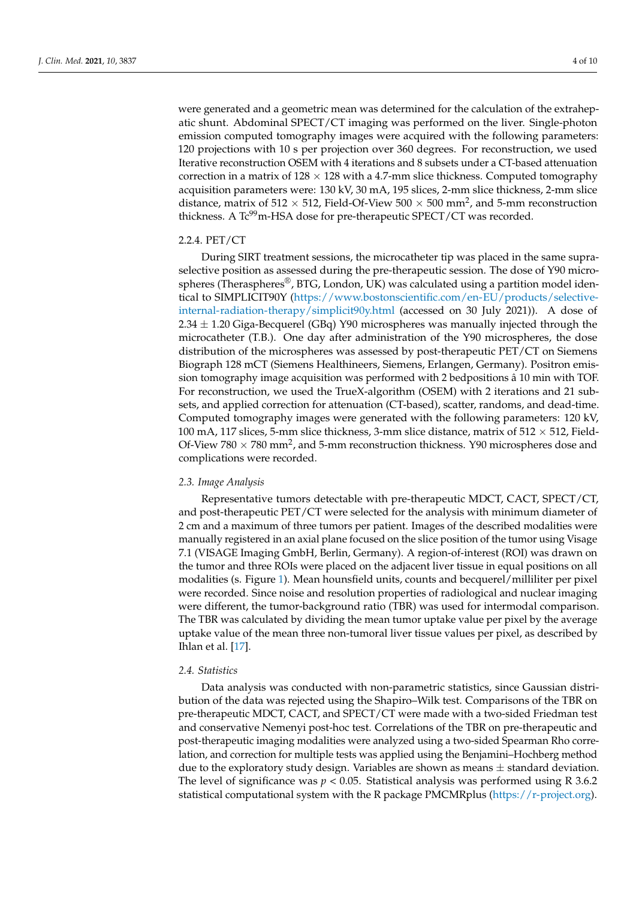were generated and a geometric mean was determined for the calculation of the extrahepatic shunt. Abdominal SPECT/CT imaging was performed on the liver. Single-photon emission computed tomography images were acquired with the following parameters: 120 projections with 10 s per projection over 360 degrees. For reconstruction, we used Iterative reconstruction OSEM with 4 iterations and 8 subsets under a CT-based attenuation correction in a matrix of  $128 \times 128$  with a 4.7-mm slice thickness. Computed tomography acquisition parameters were: 130 kV, 30 mA, 195 slices, 2-mm slice thickness, 2-mm slice distance, matrix of 512  $\times$  512, Field-Of-View 500  $\times$  500 mm<sup>2</sup>, and 5-mm reconstruction thickness. A Tc<sup>99</sup>m-HSA dose for pre-therapeutic SPECT/CT was recorded.

# 2.2.4. PET/CT

During SIRT treatment sessions, the microcatheter tip was placed in the same supraselective position as assessed during the pre-therapeutic session. The dose of Y90 microspheres (Theraspheres<sup>®</sup>, BTG, London, UK) was calculated using a partition model identical to SIMPLICIT90Y (https://www.bostonscientific.com/en-EU/products/selectiveinternal-radiation-therapy/simplicit90y.html (accessed on 30 July 2021)). A dose of  $2.34 \pm 1.20$  Giga-Becquerel (GBq) Y90 microspheres was manually injected through the microcatheter (T.B.). One day after administration of the Y90 microspheres, the dose distribution of the microspheres was assessed by post-therapeutic PET/CT on Siemens Biograph 128 mCT (Siemens Healthineers, Siemens, Erlangen, Germany). Positron emission tomography image acquisition was performed with 2 bedpositions â 10 min with TOF. For reconstruction, we used the TrueX-algorithm (OSEM) with 2 iterations and 21 subsets, and applied correction for attenuation (CT-based), scatter, randoms, and dead-time. Computed tomography images were generated with the following parameters: 120 kV, 100 mA, 117 slices, 5-mm slice thickness, 3-mm slice distance, matrix of  $512 \times 512$ , Field-Of-View  $780 \times 780$  mm<sup>2</sup>, and 5-mm reconstruction thickness. Y90 microspheres dose and complications were recorded.

#### *2.3. Image Analysis*

Representative tumors detectable with pre-therapeutic MDCT, CACT, SPECT/CT, and post-therapeutic PET/CT were selected for the analysis with minimum diameter of 2 cm and a maximum of three tumors per patient. Images of the described modalities were manually registered in an axial plane focused on the slice position of the tumor using Visage 7.1 (VISAGE Imaging GmbH, Berlin, Germany). A region-of-interest (ROI) was drawn on the tumor and three ROIs were placed on the adjacent liver tissue in equal positions on all modalities (s. Figure 1). Mean hounsfield units, counts and becquerel/milliliter per pixel were recorded. Since noise and resolution properties of radiological and nuclear imaging were different, the tumor-background ratio (TBR) was used for intermodal comparison. The TBR was calculated by dividing the mean tumor uptake value per pixel by the average uptake value of the mean three non-tumoral liver tissue values per pixel, as described by Ihlan et al. [17].

## *2.4. Statistics*

Data analysis was conducted with non-parametric statistics, since Gaussian distribution of the data was rejected using the Shapiro–Wilk test. Comparisons of the TBR on pre-therapeutic MDCT, CACT, and SPECT/CT were made with a two-sided Friedman test and conservative Nemenyi post-hoc test. Correlations of the TBR on pre-therapeutic and post-therapeutic imaging modalities were analyzed using a two-sided Spearman Rho correlation, and correction for multiple tests was applied using the Benjamini–Hochberg method due to the exploratory study design. Variables are shown as means  $\pm$  standard deviation. The level of significance was  $p < 0.05$ . Statistical analysis was performed using R 3.6.2 statistical computational system with the R package PMCMRplus (https://r-project.org).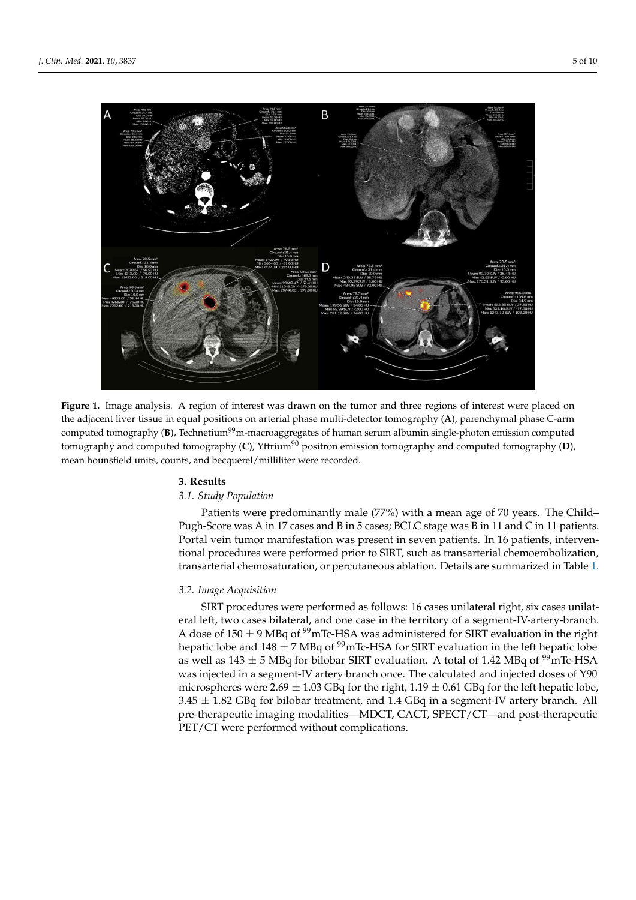

**Figure 1.** Image analysis. A region of interest was drawn on the tumor and three regions of interest were placed on the adjacent liver tissue in equal positions on arterial phase multi-detector tomography (**A**), parenchymal phase C-arm computed tomography (B), Technetium<sup>99</sup>m-macroaggregates of human serum albumin single-photon emission computed tomography and computed tomography (**C**), Yttrium<sup>90</sup> positron emission tomography and computed tomography (**D**), mean hounsfield units, counts, and becquerel/milliliter were recorded.

## **3. Results**

# *3.1. Study Population*

Patients were predominantly male (77%) with a mean age of 70 years. The Child– Pugh-Score was A in 17 cases and B in 5 cases; BCLC stage was B in 11 and C in 11 patients. Portal vein tumor manifestation was present in seven patients. In 16 patients, interventional procedures were performed prior to SIRT, such as transarterial chemoembolization, transarterial chemosaturation, or percutaneous ablation. Details are summarized in Table 1.

# *3.2. Image Acquisition*

SIRT procedures were performed as follows: 16 cases unilateral right, six cases unilateral left, two cases bilateral, and one case in the territory of a segment-IV-artery-branch. A dose of 150  $\pm$  9 MBq of <sup>99</sup>mTc-HSA was administered for SIRT evaluation in the right hepatic lobe and  $148 \pm 7$  MBq of <sup>99</sup>mTc-HSA for SIRT evaluation in the left hepatic lobe as well as  $143 \pm 5$  MBq for bilobar SIRT evaluation. A total of 1.42 MBq of <sup>99</sup>mTc-HSA was injected in a segment-IV artery branch once. The calculated and injected doses of Y90 microspheres were  $2.69 \pm 1.03$  GBq for the right,  $1.19 \pm 0.61$  GBq for the left hepatic lobe,  $3.45 \pm 1.82$  GBq for bilobar treatment, and 1.4 GBq in a segment-IV artery branch. All pre-therapeutic imaging modalities—MDCT, CACT, SPECT/CT—and post-therapeutic PET/CT were performed without complications.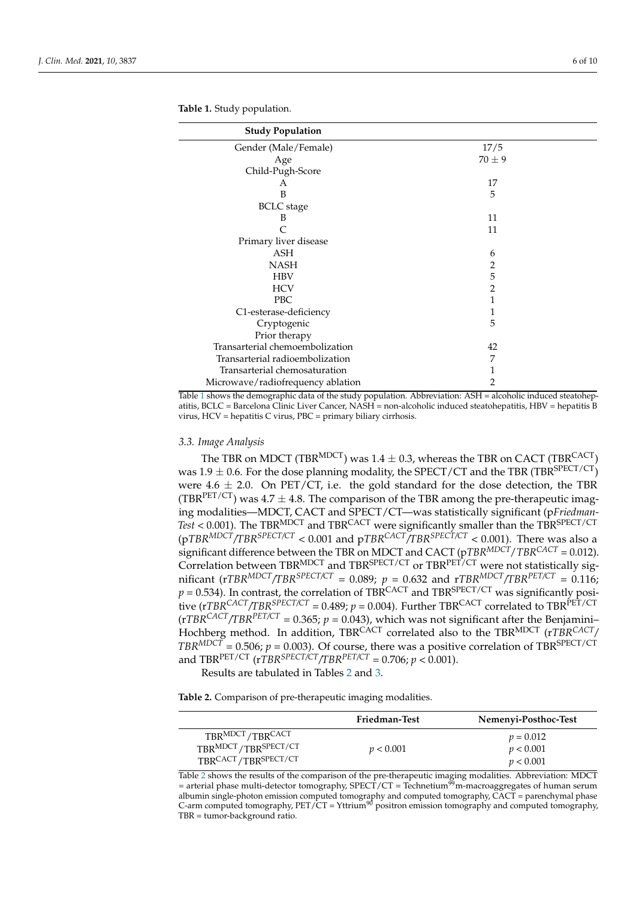| <b>Study Population</b>           |                |
|-----------------------------------|----------------|
| Gender (Male/Female)              | 17/5           |
| Age                               | $70 \pm 9$     |
| Child-Pugh-Score                  |                |
| А                                 | 17             |
| B                                 | 5              |
| <b>BCLC</b> stage                 |                |
| B                                 | 11             |
| C                                 | 11             |
| Primary liver disease             |                |
| ASH                               | 6              |
| <b>NASH</b>                       | 2              |
| <b>HBV</b>                        | 5              |
| <b>HCV</b>                        | $\overline{2}$ |
| <b>PBC</b>                        | 1              |
| C1-esterase-deficiency            | 1              |
| Cryptogenic                       | 5              |
| Prior therapy                     |                |
| Transarterial chemoembolization   | 42             |
| Transarterial radioembolization   | 7              |
| Transarterial chemosaturation     |                |
| Microwave/radiofrequency ablation | 2              |

**Table 1.** Study population.

Table 1 shows the demographic data of the study population. Abbreviation: ASH = alcoholic induced steatohepatitis, BCLC = Barcelona Clinic Liver Cancer, NASH = non-alcoholic induced steatohepatitis, HBV = hepatitis B virus, HCV = hepatitis C virus, PBC = primary biliary cirrhosis.

#### *3.3. Image Analysis*

The TBR on MDCT (TBR<sup>MDCT</sup>) was 1.4  $\pm$  0.3, whereas the TBR on CACT (TBR<sup>CACT</sup>) was  $1.9 \pm 0.6$ . For the dose planning modality, the SPECT/CT and the TBR (TBR<sup>SPECT/CT</sup>) were  $4.6 \pm 2.0$ . On PET/CT, i.e. the gold standard for the dose detection, the TBR (TBR<sup>PET/CT</sup>) was 4.7  $\pm$  4.8. The comparison of the TBR among the pre-therapeutic imaging modalities—MDCT, CACT and SPECT/CT—was statistically significant (p*Friedman-Test* < 0.001). The TBRMDCT and TBRCACT were significantly smaller than the TBRSPECT/CT  $(pTBR^{MDCT}/TBR^{SPECT/CT}$  < 0.001 and  $pTBR^{CACT}/TBR^{SPECT/CT}$  < 0.001). There was also a significant difference between the TBR on MDCT and CACT (p*TBRMDCT/ TBRCACT* = 0.012). Correlation between TBR $^{MDCT}$  and TBR $^{SPECT/CT}$  or TBR $^{PET/CT}$  were not statistically significant (r*TBR<sup>MDCT</sup>/TBR<sup>SPECT/CT</sup>* = 0.089;  $p = 0.632$  and r*TBR<sup>MDCT</sup>/TBR<sup>PET/CT</sup>* = 0.116;  $p = 0.534$ ). In contrast, the correlation of TBR<sup>CACT</sup> and TBR<sup>SPECT/CT</sup> was significantly positive (rTBR<sup>CACT</sup>/TBR<sup>SPECT/CT</sup> = 0.489;  $p = 0.004$ ). Further TBR<sup>CACT</sup> correlated to TBR<sup>PET/CT</sup>  $(rTBR<sup>CACT</sup>/TBR<sup>PET</sup>/CT$  = 0.365;  $p = 0.043$ ), which was not significant after the Benjamini– Hochberg method. In addition, TBRCACT correlated also to the TBRMDCT (r*TBRCACT/ TBR*<sup>*MDCT*</sup> = 0.506;  $p = 0.003$ ). Of course, there was a positive correlation of TBR<sup>SPECT/CT</sup> and TBR<sup>PET/CT</sup> ( $rTBR^{SPECT/CT}/TBR^{PET/CT} = 0.706; p < 0.001$ ).

Results are tabulated in Tables 2 and 3.

**Table 2.** Comparison of pre-therapeutic imaging modalities.

|                                                                                                                 | Friedman-Test | Nemenyi-Posthoc-Test                  |
|-----------------------------------------------------------------------------------------------------------------|---------------|---------------------------------------|
| TBR <sup>MDCT</sup> /TBR <sup>CACT</sup><br>TBRMDCT/TBRSPECT/CT<br>TBR <sup>CACT</sup> /TBR <sup>SPECT/CT</sup> | p < 0.001     | $p = 0.012$<br>p < 0.001<br>p < 0.001 |

Table 2 shows the results of the comparison of the pre-therapeutic imaging modalities. Abbreviation: MDCT = arterial phase multi-detector tomography,  $SPECT/CT$  = Technetium<sup>99</sup>m-macroaggregates of human serum albumin single-photon emission computed tomography and computed tomography, CACT = parenchymal phase C-arm computed tomography,  $PET/CT = Yttrium<sup>90</sup>$  positron emission tomography and computed tomography, TBR = tumor-background ratio.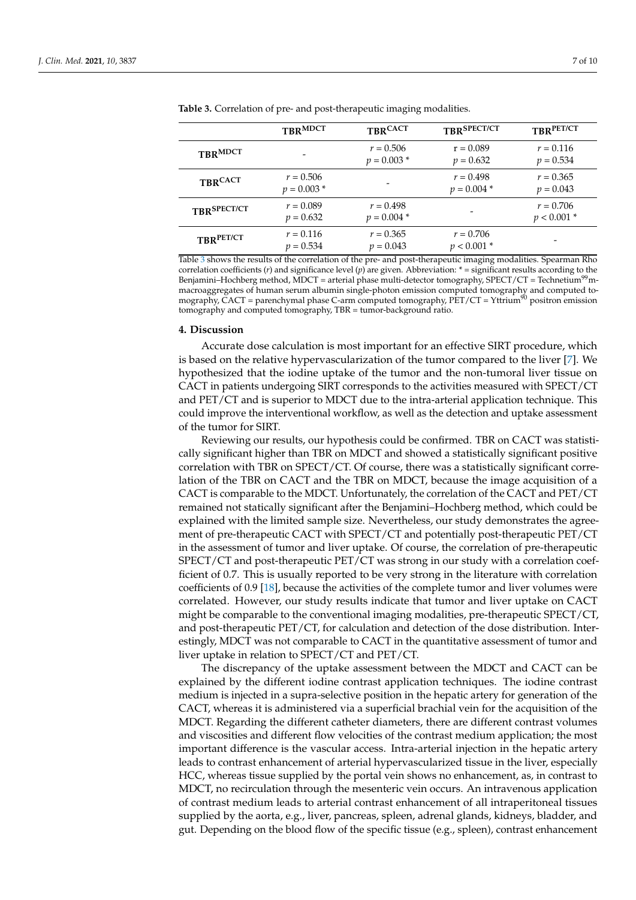|                           | <b>TBRMDCT</b>              | <b>TBR<sup>CACT</sup></b>    | TBR <sup>SPECT/CT</sup>     | TBRPET/CT                   |
|---------------------------|-----------------------------|------------------------------|-----------------------------|-----------------------------|
| <b>TBRMDCT</b>            |                             | $r = 0.506$<br>$p = 0.003*$  | $r = 0.089$<br>$p = 0.632$  | $r = 0.116$<br>$p = 0.534$  |
| <b>TBR<sup>CACT</sup></b> | $r = 0.506$<br>$p = 0.003*$ |                              | $r = 0.498$<br>$p = 0.004*$ | $r = 0.365$<br>$p = 0.043$  |
| TBR <sup>SPECT/CT</sup>   | $r = 0.089$<br>$p = 0.632$  | $r = 0.498$<br>$p = 0.004$ * |                             | $r = 0.706$<br>$p < 0.001*$ |
| TBRPET/CT                 | $r = 0.116$<br>$p = 0.534$  | $r = 0.365$<br>$p = 0.043$   | $r = 0.706$<br>$p < 0.001*$ |                             |

**Table 3.** Correlation of pre- and post-therapeutic imaging modalities.

Table 3 shows the results of the correlation of the pre- and post-therapeutic imaging modalities. Spearman Rho correlation coefficients (*r*) and significance level (*p*) are given. Abbreviation: \* = significant results according to the Benjamini–Hochberg method, MDCT = arterial phase multi-detector tomography, SPECT/CT = Technetium<sup>99</sup>mmacroaggregates of human serum albumin single-photon emission computed tomography and computed tomography, CACT = parenchymal phase C-arm computed tomography,  $\angle$ PET/CT = Yttrium<sup>90</sup> positron emission tomography and computed tomography, TBR = tumor-background ratio.

#### **4. Discussion**

Accurate dose calculation is most important for an effective SIRT procedure, which is based on the relative hypervascularization of the tumor compared to the liver [7]. We hypothesized that the iodine uptake of the tumor and the non-tumoral liver tissue on CACT in patients undergoing SIRT corresponds to the activities measured with SPECT/CT and PET/CT and is superior to MDCT due to the intra-arterial application technique. This could improve the interventional workflow, as well as the detection and uptake assessment of the tumor for SIRT.

Reviewing our results, our hypothesis could be confirmed. TBR on CACT was statistically significant higher than TBR on MDCT and showed a statistically significant positive correlation with TBR on SPECT/CT. Of course, there was a statistically significant correlation of the TBR on CACT and the TBR on MDCT, because the image acquisition of a CACT is comparable to the MDCT. Unfortunately, the correlation of the CACT and PET/CT remained not statically significant after the Benjamini–Hochberg method, which could be explained with the limited sample size. Nevertheless, our study demonstrates the agreement of pre-therapeutic CACT with SPECT/CT and potentially post-therapeutic PET/CT in the assessment of tumor and liver uptake. Of course, the correlation of pre-therapeutic SPECT/CT and post-therapeutic PET/CT was strong in our study with a correlation coefficient of 0.7. This is usually reported to be very strong in the literature with correlation coefficients of 0.9 [18], because the activities of the complete tumor and liver volumes were correlated. However, our study results indicate that tumor and liver uptake on CACT might be comparable to the conventional imaging modalities, pre-therapeutic SPECT/CT, and post-therapeutic PET/CT, for calculation and detection of the dose distribution. Interestingly, MDCT was not comparable to CACT in the quantitative assessment of tumor and liver uptake in relation to SPECT/CT and PET/CT.

The discrepancy of the uptake assessment between the MDCT and CACT can be explained by the different iodine contrast application techniques. The iodine contrast medium is injected in a supra-selective position in the hepatic artery for generation of the CACT, whereas it is administered via a superficial brachial vein for the acquisition of the MDCT. Regarding the different catheter diameters, there are different contrast volumes and viscosities and different flow velocities of the contrast medium application; the most important difference is the vascular access. Intra-arterial injection in the hepatic artery leads to contrast enhancement of arterial hypervascularized tissue in the liver, especially HCC, whereas tissue supplied by the portal vein shows no enhancement, as, in contrast to MDCT, no recirculation through the mesenteric vein occurs. An intravenous application of contrast medium leads to arterial contrast enhancement of all intraperitoneal tissues supplied by the aorta, e.g., liver, pancreas, spleen, adrenal glands, kidneys, bladder, and gut. Depending on the blood flow of the specific tissue (e.g., spleen), contrast enhancement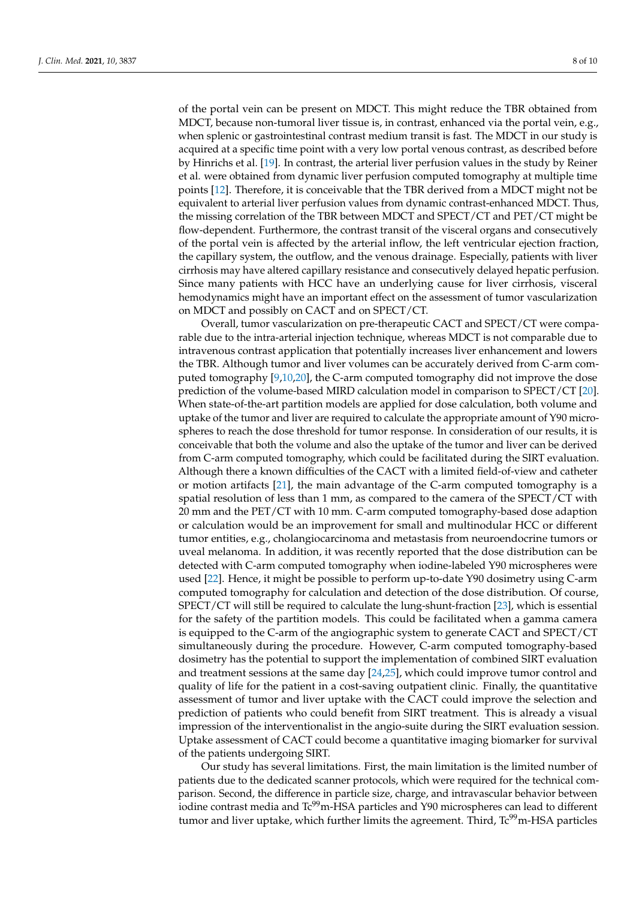of the portal vein can be present on MDCT. This might reduce the TBR obtained from MDCT, because non-tumoral liver tissue is, in contrast, enhanced via the portal vein, e.g., when splenic or gastrointestinal contrast medium transit is fast. The MDCT in our study is acquired at a specific time point with a very low portal venous contrast, as described before by Hinrichs et al. [19]. In contrast, the arterial liver perfusion values in the study by Reiner et al. were obtained from dynamic liver perfusion computed tomography at multiple time points [12]. Therefore, it is conceivable that the TBR derived from a MDCT might not be equivalent to arterial liver perfusion values from dynamic contrast-enhanced MDCT. Thus, the missing correlation of the TBR between MDCT and SPECT/CT and PET/CT might be flow-dependent. Furthermore, the contrast transit of the visceral organs and consecutively of the portal vein is affected by the arterial inflow, the left ventricular ejection fraction, the capillary system, the outflow, and the venous drainage. Especially, patients with liver cirrhosis may have altered capillary resistance and consecutively delayed hepatic perfusion. Since many patients with HCC have an underlying cause for liver cirrhosis, visceral hemodynamics might have an important effect on the assessment of tumor vascularization on MDCT and possibly on CACT and on SPECT/CT.

Overall, tumor vascularization on pre-therapeutic CACT and SPECT/CT were comparable due to the intra-arterial injection technique, whereas MDCT is not comparable due to intravenous contrast application that potentially increases liver enhancement and lowers the TBR. Although tumor and liver volumes can be accurately derived from C-arm computed tomography [9,10,20], the C-arm computed tomography did not improve the dose prediction of the volume-based MIRD calculation model in comparison to SPECT/CT [20]. When state-of-the-art partition models are applied for dose calculation, both volume and uptake of the tumor and liver are required to calculate the appropriate amount of Y90 microspheres to reach the dose threshold for tumor response. In consideration of our results, it is conceivable that both the volume and also the uptake of the tumor and liver can be derived from C-arm computed tomography, which could be facilitated during the SIRT evaluation. Although there a known difficulties of the CACT with a limited field-of-view and catheter or motion artifacts [21], the main advantage of the C-arm computed tomography is a spatial resolution of less than 1 mm, as compared to the camera of the SPECT/CT with 20 mm and the PET/CT with 10 mm. C-arm computed tomography-based dose adaption or calculation would be an improvement for small and multinodular HCC or different tumor entities, e.g., cholangiocarcinoma and metastasis from neuroendocrine tumors or uveal melanoma. In addition, it was recently reported that the dose distribution can be detected with C-arm computed tomography when iodine-labeled Y90 microspheres were used [22]. Hence, it might be possible to perform up-to-date Y90 dosimetry using C-arm computed tomography for calculation and detection of the dose distribution. Of course, SPECT/CT will still be required to calculate the lung-shunt-fraction [23], which is essential for the safety of the partition models. This could be facilitated when a gamma camera is equipped to the C-arm of the angiographic system to generate CACT and SPECT/CT simultaneously during the procedure. However, C-arm computed tomography-based dosimetry has the potential to support the implementation of combined SIRT evaluation and treatment sessions at the same day [24,25], which could improve tumor control and quality of life for the patient in a cost-saving outpatient clinic. Finally, the quantitative assessment of tumor and liver uptake with the CACT could improve the selection and prediction of patients who could benefit from SIRT treatment. This is already a visual impression of the interventionalist in the angio-suite during the SIRT evaluation session. Uptake assessment of CACT could become a quantitative imaging biomarker for survival of the patients undergoing SIRT.

Our study has several limitations. First, the main limitation is the limited number of patients due to the dedicated scanner protocols, which were required for the technical comparison. Second, the difference in particle size, charge, and intravascular behavior between iodine contrast media and Tc<sup>99</sup>m-HSA particles and Y90 microspheres can lead to different tumor and liver uptake, which further limits the agreement. Third,  $Tc^{99}$ m-HSA particles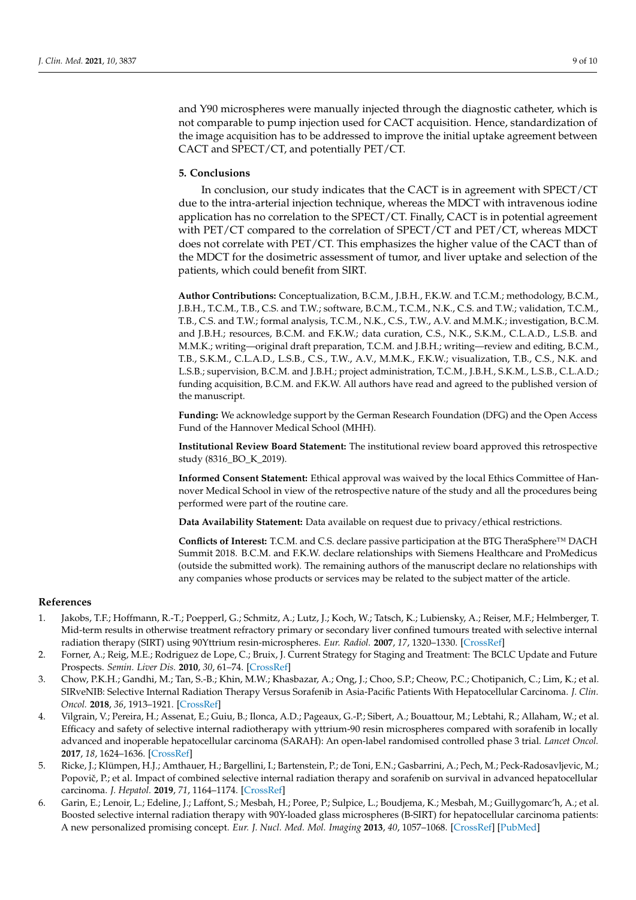and Y90 microspheres were manually injected through the diagnostic catheter, which is not comparable to pump injection used for CACT acquisition. Hence, standardization of the image acquisition has to be addressed to improve the initial uptake agreement between CACT and SPECT/CT, and potentially PET/CT.

## **5. Conclusions**

In conclusion, our study indicates that the CACT is in agreement with SPECT/CT due to the intra-arterial injection technique, whereas the MDCT with intravenous iodine application has no correlation to the SPECT/CT. Finally, CACT is in potential agreement with PET/CT compared to the correlation of SPECT/CT and PET/CT, whereas MDCT does not correlate with PET/CT. This emphasizes the higher value of the CACT than of the MDCT for the dosimetric assessment of tumor, and liver uptake and selection of the patients, which could benefit from SIRT.

**Author Contributions:** Conceptualization, B.C.M., J.B.H., F.K.W. and T.C.M.; methodology, B.C.M., J.B.H., T.C.M., T.B., C.S. and T.W.; software, B.C.M., T.C.M., N.K., C.S. and T.W.; validation, T.C.M., T.B., C.S. and T.W.; formal analysis, T.C.M., N.K., C.S., T.W., A.V. and M.M.K.; investigation, B.C.M. and J.B.H.; resources, B.C.M. and F.K.W.; data curation, C.S., N.K., S.K.M., C.L.A.D., L.S.B. and M.M.K.; writing—original draft preparation, T.C.M. and J.B.H.; writing—review and editing, B.C.M., T.B., S.K.M., C.L.A.D., L.S.B., C.S., T.W., A.V., M.M.K., F.K.W.; visualization, T.B., C.S., N.K. and L.S.B.; supervision, B.C.M. and J.B.H.; project administration, T.C.M., J.B.H., S.K.M., L.S.B., C.L.A.D.; funding acquisition, B.C.M. and F.K.W. All authors have read and agreed to the published version of the manuscript.

**Funding:** We acknowledge support by the German Research Foundation (DFG) and the Open Access Fund of the Hannover Medical School (MHH).

**Institutional Review Board Statement:** The institutional review board approved this retrospective study (8316\_BO\_K\_2019).

**Informed Consent Statement:** Ethical approval was waived by the local Ethics Committee of Hannover Medical School in view of the retrospective nature of the study and all the procedures being performed were part of the routine care.

**Data Availability Statement:** Data available on request due to privacy/ethical restrictions.

**Conflicts of Interest:** T.C.M. and C.S. declare passive participation at the BTG TheraSphere™ DACH Summit 2018. B.C.M. and F.K.W. declare relationships with Siemens Healthcare and ProMedicus (outside the submitted work). The remaining authors of the manuscript declare no relationships with any companies whose products or services may be related to the subject matter of the article.

# **References**

- 1. Jakobs, T.F.; Hoffmann, R.-T.; Poepperl, G.; Schmitz, A.; Lutz, J.; Koch, W.; Tatsch, K.; Lubiensky, A.; Reiser, M.F.; Helmberger, T. Mid-term results in otherwise treatment refractory primary or secondary liver confined tumours treated with selective internal radiation therapy (SIRT) using 90Yttrium resin-microspheres. *Eur. Radiol.* **2007**, *17*, 1320–1330. [CrossRef]
- 2. Forner, A.; Reig, M.E.; Rodriguez de Lope, C.; Bruix, J. Current Strategy for Staging and Treatment: The BCLC Update and Future Prospects. *Semin. Liver Dis.* **2010**, *30*, 61–74. [CrossRef]
- 3. Chow, P.K.H.; Gandhi, M.; Tan, S.-B.; Khin, M.W.; Khasbazar, A.; Ong, J.; Choo, S.P.; Cheow, P.C.; Chotipanich, C.; Lim, K.; et al. SIRveNIB: Selective Internal Radiation Therapy Versus Sorafenib in Asia-Pacific Patients With Hepatocellular Carcinoma. *J. Clin. Oncol.* **2018**, *36*, 1913–1921. [CrossRef]
- 4. Vilgrain, V.; Pereira, H.; Assenat, E.; Guiu, B.; Ilonca, A.D.; Pageaux, G.-P.; Sibert, A.; Bouattour, M.; Lebtahi, R.; Allaham, W.; et al. Efficacy and safety of selective internal radiotherapy with yttrium-90 resin microspheres compared with sorafenib in locally advanced and inoperable hepatocellular carcinoma (SARAH): An open-label randomised controlled phase 3 trial. *Lancet Oncol.* **2017**, *18*, 1624–1636. [CrossRef]
- 5. Ricke, J.; Klümpen, H.J.; Amthauer, H.; Bargellini, I.; Bartenstein, P.; de Toni, E.N.; Gasbarrini, A.; Pech, M.; Peck-Radosavljevic, M.; Popovič, P.; et al. Impact of combined selective internal radiation therapy and sorafenib on survival in advanced hepatocellular carcinoma. *J. Hepatol.* **2019**, *71*, 1164–1174. [CrossRef]
- 6. Garin, E.; Lenoir, L.; Edeline, J.; Laffont, S.; Mesbah, H.; Poree, P.; Sulpice, L.; Boudjema, K.; Mesbah, M.; Guillygomarc'h, A.; et al. Boosted selective internal radiation therapy with 90Y-loaded glass microspheres (B-SIRT) for hepatocellular carcinoma patients: A new personalized promising concept. *Eur. J. Nucl. Med. Mol. Imaging* **2013**, *40*, 1057–1068. [CrossRef] [PubMed]